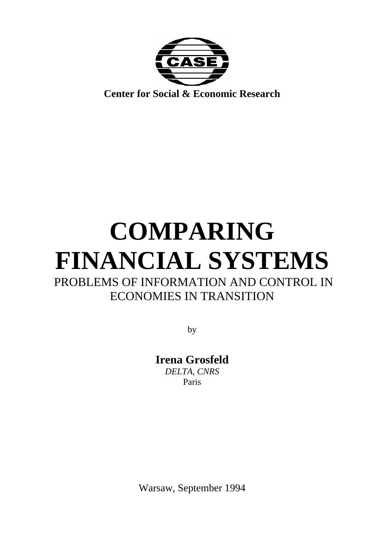

## **COMPARING FINANCIAL SYSTEMS**  PROBLEMS OF INFORMATION AND CONTROL IN ECONOMIES IN TRANSITION

by

**Irena Grosfeld**  *DELTA, CNRS*  Paris

Warsaw, September 1994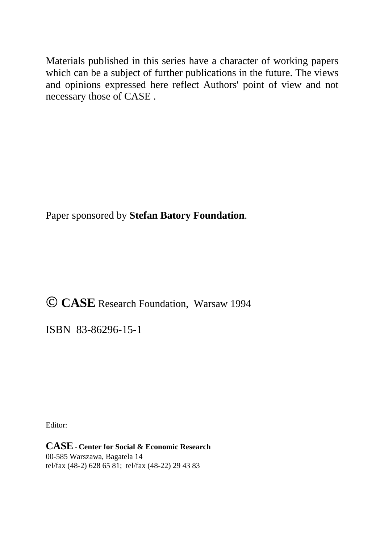Materials published in this series have a character of working papers which can be a subject of further publications in the future. The views and opinions expressed here reflect Authors' point of view and not necessary those of CASE .

Paper sponsored by **Stefan Batory Foundation**.

 **CASE** Research Foundation, Warsaw 1994

ISBN 83-86296-15-1

Editor:

**CASE** - **Center for Social & Economic Research**  00-585 Warszawa, Bagatela 14 tel/fax (48-2) 628 65 81; tel/fax (48-22) 29 43 83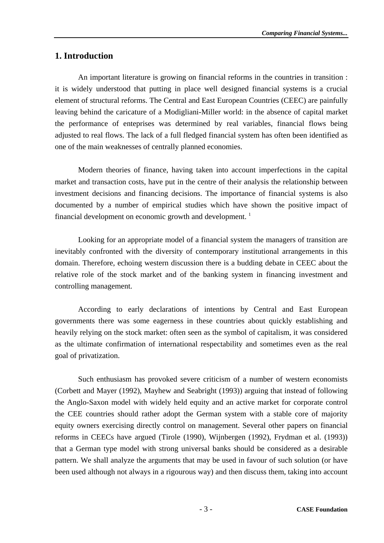#### **1. Introduction**

 An important literature is growing on financial reforms in the countries in transition : it is widely understood that putting in place well designed financial systems is a crucial element of structural reforms. The Central and East European Countries (CEEC) are painfully leaving behind the caricature of a Modigliani-Miller world: in the absence of capital market the performance of enteprises was determined by real variables, financial flows being adjusted to real flows. The lack of a full fledged financial system has often been identified as one of the main weaknesses of centrally planned economies.

 Modern theories of finance, having taken into account imperfections in the capital market and transaction costs, have put in the centre of their analysis the relationship between investment decisions and financing decisions. The importance of financial systems is also documented by a number of empirical studies which have shown the positive impact of financial development on economic growth and development.<sup>1</sup>

 Looking for an appropriate model of a financial system the managers of transition are inevitably confronted with the diversity of contemporary institutional arrangements in this domain. Therefore, echoing western discussion there is a budding debate in CEEC about the relative role of the stock market and of the banking system in financing investment and controlling management.

 According to early declarations of intentions by Central and East European governments there was some eagerness in these countries about quickly establishing and heavily relying on the stock market: often seen as the symbol of capitalism, it was considered as the ultimate confirmation of international respectability and sometimes even as the real goal of privatization.

 Such enthusiasm has provoked severe criticism of a number of western economists (Corbett and Mayer (1992), Mayhew and Seabright (1993)) arguing that instead of following the Anglo-Saxon model with widely held equity and an active market for corporate control the CEE countries should rather adopt the German system with a stable core of majority equity owners exercising directly control on management. Several other papers on financial reforms in CEECs have argued (Tirole (1990), Wijnbergen (1992), Frydman et al. (1993)) that a German type model with strong universal banks should be considered as a desirable pattern. We shall analyze the arguments that may be used in favour of such solution (or have been used although not always in a rigourous way) and then discuss them, taking into account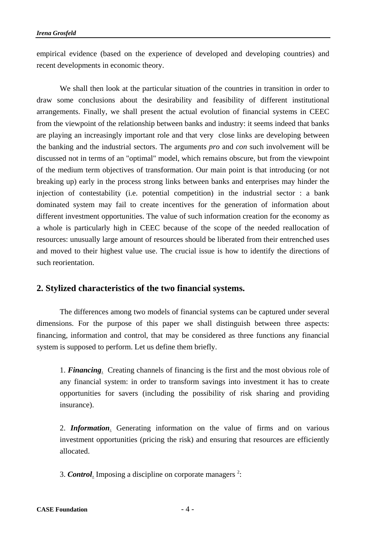empirical evidence (based on the experience of developed and developing countries) and recent developments in economic theory.

 We shall then look at the particular situation of the countries in transition in order to draw some conclusions about the desirability and feasibility of different institutional arrangements. Finally, we shall present the actual evolution of financial systems in CEEC from the viewpoint of the relationship between banks and industry: it seems indeed that banks are playing an increasingly important role and that very close links are developing between the banking and the industrial sectors. The arguments *pro* and *con* such involvement will be discussed not in terms of an "optimal" model, which remains obscure, but from the viewpoint of the medium term objectives of transformation. Our main point is that introducing (or not breaking up) early in the process strong links between banks and enterprises may hinder the injection of contestability (i.e. potential competition) in the industrial sector : a bank dominated system may fail to create incentives for the generation of information about different investment opportunities. The value of such information creation for the economy as a whole is particularly high in CEEC because of the scope of the needed reallocation of resources: unusually large amount of resources should be liberated from their entrenched uses and moved to their highest value use. The crucial issue is how to identify the directions of such reorientation.

#### **2. Stylized characteristics of the two financial systems.**

 The differences among two models of financial systems can be captured under several dimensions. For the purpose of this paper we shall distinguish between three aspects: financing, information and control, that may be considered as three functions any financial system is supposed to perform. Let us define them briefly.

 1. *Financing*. Creating channels of financing is the first and the most obvious role of any financial system: in order to transform savings into investment it has to create opportunities for savers (including the possibility of risk sharing and providing insurance).

 2. *Information*. Generating information on the value of firms and on various investment opportunities (pricing the risk) and ensuring that resources are efficiently allocated.

3. **Control**. Imposing a discipline on corporate managers<sup>2</sup>: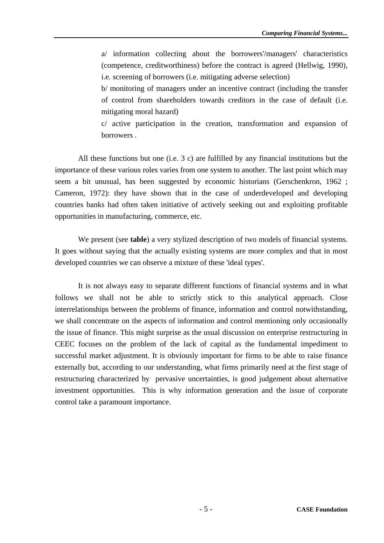a/ information collecting about the borrowers'/managers' characteristics (competence, creditworthiness) before the contract is agreed (Hellwig, 1990), i.e. screening of borrowers (i.e. mitigating adverse selection)

 b/ monitoring of managers under an incentive contract (including the transfer of control from shareholders towards creditors in the case of default (i.e. mitigating moral hazard)

 c/ active participation in the creation, transformation and expansion of borrowers .

 All these functions but one (i.e. 3 c) are fulfilled by any financial institutions but the importance of these various roles varies from one system to another. The last point which may seem a bit unusual, has been suggested by economic historians (Gerschenkron, 1962 ; Cameron, 1972): they have shown that in the case of underdeveloped and developing countries banks had often taken initiative of actively seeking out and exploiting profitable opportunities in manufacturing, commerce, etc.

 We present (see **table**) a very stylized description of two models of financial systems. It goes without saying that the actually existing systems are more complex and that in most developed countries we can observe a mixture of these 'ideal types'.

 It is not always easy to separate different functions of financial systems and in what follows we shall not be able to strictly stick to this analytical approach. Close interrelationships between the problems of finance, information and control notwithstanding, we shall concentrate on the aspects of information and control mentioning only occasionally the issue of finance. This might surprise as the usual discussion on enterprise restructuring in CEEC focuses on the problem of the lack of capital as the fundamental impediment to successful market adjustment. It is obviously important for firms to be able to raise finance externally but, according to our understanding, what firms primarily need at the first stage of restructuring characterized by pervasive uncertainties, is good judgement about alternative investment opportunities. This is why information generation and the issue of corporate control take a paramount importance.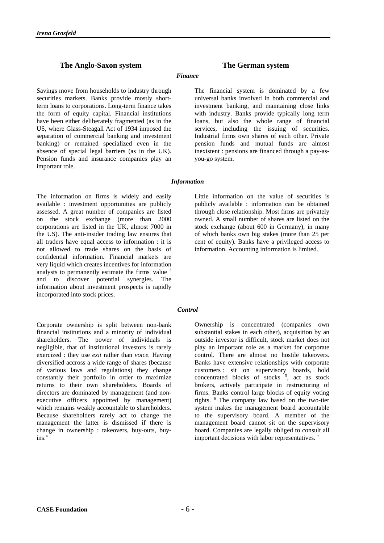#### **The Anglo-Saxon system The German system**

#### *Finance*

Savings move from households to industry through securities markets. Banks provide mostly shortterm loans to corporations. Long-term finance takes the form of equity capital. Financial institutions have been either deliberately fragmented (as in the US, where Glass-Steagall Act of 1934 imposed the separation of commercial banking and investment banking) or remained specialized even in the absence of special legal barriers (as in the UK). Pension funds and insurance companies play an important role.

# The financial system is dominated by a few

universal banks involved in both commercial and investment banking, and maintaining close links with industry. Banks provide typically long term loans, but also the whole range of financial services, including the issuing of securities. Industrial firms own shares of each other. Private pension funds and mutual funds are almost inexistent : pensions are financed through a pay-asyou-go system.

#### *Information*

The information on firms is widely and easily available : investment opportunities are publicly assessed. A great number of companies are listed on the stock exchange (more than 2000 corporations are listed in the UK, almost 7000 in the US). The anti-insider trading law ensures that all traders have equal access to information : it is not allowed to trade shares on the basis of confidential information. Financial markets are very liquid which creates incentives for information analysts to permanently estimate the firms' value  $3$ and to discover potential synergies. The information about investment prospects is rapidly incorporated into stock prices.

Corporate ownership is split between non-bank financial institutions and a minority of individual shareholders. The power of individuals is negligible, that of institutional investors is rarely exercized : they use *exit* rather than *voice.* Having diversified accross a wide range of shares (because of various laws and regulations) they change constantly their portfolio in order to maximize returns to their own shareholders. Boards of directors are dominated by management (and nonexecutive officers appointed by management) which remains weakly accountable to shareholders. Because shareholders rarely act to change the management the latter is dismissed if there is change in ownership : takeovers, buy-outs, buy $ins.<sup>4</sup>$ 

Little information on the value of securities is publicly available : information can be obtained through close relationship. Most firms are privately owned. A small number of shares are listed on the stock exchange (about 600 in Germany), in many of which banks own big stakes (more than 25 per cent of equity). Banks have a privileged access to information. Accounting information is limited.

#### *Control*

Ownership is concentrated (companies own substantial stakes in each other), acquisition by an outside investor is difficult, stock market does not play an important role as a market for corporate control. There are almost no hostile takeovers. Banks have extensive relationships with corporate customers : sit on supervisory boards, hold concentrated blocks of stocks  $5$ , act as stock brokers, actively participate in restructuring of firms. Banks control large blocks of equity voting rights. 6 The company law based on the two-tier system makes the management board accountable to the supervisory board. A member of the management board cannot sit on the supervisory board. Companies are legally obliged to consult all important decisions with labor representatives.  $7$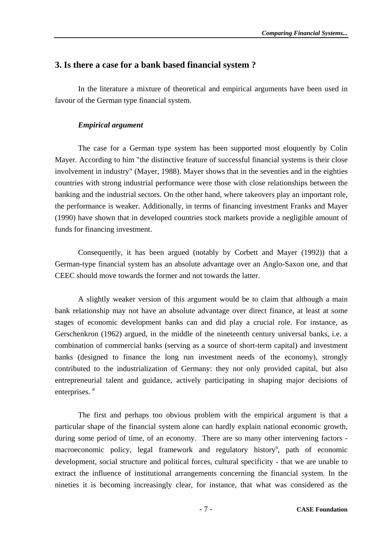#### **3. Is there a case for a bank based financial system ?**

 In the literature a mixture of theoretical and empirical arguments have been used in favour of the German type financial system.

#### *Empirical argument*

 The case for a German type system has been supported most eloquently by Colin Mayer. According to him "the distinctive feature of successful financial systems is their close involvement in industry" (Mayer, 1988). Mayer shows that in the seventies and in the eighties countries with strong industrial performance were those with close relationships between the banking and the industrial sectors. On the other hand, where takeovers play an important role, the performance is weaker. Additionally, in terms of financing investment Franks and Mayer (1990) have shown that in developed countries stock markets provide a negligible amount of funds for financing investment.

 Consequently, it has been argued (notably by Corbett and Mayer (1992)) that a German-type financial system has an absolute advantage over an Anglo-Saxon one, and that CEEC should move towards the former and not towards the latter.

 A slightly weaker version of this argument would be to claim that although a main bank relationship may not have an absolute advantage over direct finance, at least at some stages of economic development banks can and did play a crucial role. For instance, as Gerschenkron (1962) argued, in the middle of the nineteenth century universal banks, i.e. a combination of commercial banks (serving as a source of short-term capital) and investment banks (designed to finance the long run investment needs of the economy), strongly contributed to the industrialization of Germany: they not only provided capital, but also entrepreneurial talent and guidance, actively participating in shaping major decisions of enterprises.<sup>8</sup>

 The first and perhaps too obvious problem with the empirical argument is that a particular shape of the financial system alone can hardly explain national economic growth, during some period of time, of an economy. There are so many other intervening factors macroeconomic policy, legal framework and regulatory history<sup>9</sup>, path of economic development, social structure and political forces, cultural specificity - that we are unable to extract the influence of institutional arrangements concerning the financial system. In the nineties it is becoming increasingly clear, for instance, that what was considered as the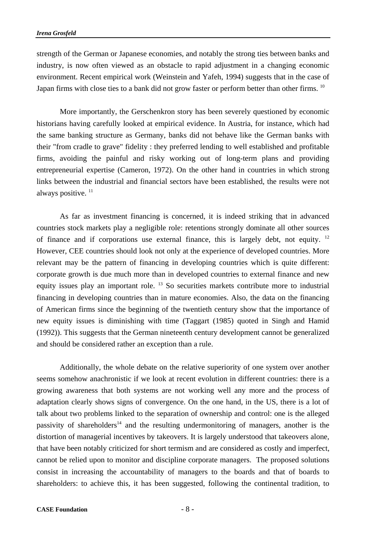strength of the German or Japanese economies, and notably the strong ties between banks and industry, is now often viewed as an obstacle to rapid adjustment in a changing economic environment. Recent empirical work (Weinstein and Yafeh, 1994) suggests that in the case of Japan firms with close ties to a bank did not grow faster or perform better than other firms. <sup>10</sup>

 More importantly, the Gerschenkron story has been severely questioned by economic historians having carefully looked at empirical evidence. In Austria, for instance, which had the same banking structure as Germany, banks did not behave like the German banks with their "from cradle to grave" fidelity : they preferred lending to well established and profitable firms, avoiding the painful and risky working out of long-term plans and providing entrepreneurial expertise (Cameron, 1972). On the other hand in countries in which strong links between the industrial and financial sectors have been established, the results were not always positive.<sup>11</sup>

 As far as investment financing is concerned, it is indeed striking that in advanced countries stock markets play a negligible role: retentions strongly dominate all other sources of finance and if corporations use external finance, this is largely debt, not equity. 12 However, CEE countries should look not only at the experience of developed countries. More relevant may be the pattern of financing in developing countries which is quite different: corporate growth is due much more than in developed countries to external finance and new equity issues play an important role.  $^{13}$  So securities markets contribute more to industrial financing in developing countries than in mature economies. Also, the data on the financing of American firms since the beginning of the twentieth century show that the importance of new equity issues is diminishing with time (Taggart (1985) quoted in Singh and Hamid (1992)). This suggests that the German nineteenth century development cannot be generalized and should be considered rather an exception than a rule.

 Additionally, the whole debate on the relative superiority of one system over another seems somehow anachronistic if we look at recent evolution in different countries: there is a growing awareness that both systems are not working well any more and the process of adaptation clearly shows signs of convergence. On the one hand, in the US, there is a lot of talk about two problems linked to the separation of ownership and control: one is the alleged passivity of shareholders<sup>14</sup> and the resulting undermonitoring of managers, another is the distortion of managerial incentives by takeovers. It is largely understood that takeovers alone, that have been notably criticized for short termism and are considered as costly and imperfect, cannot be relied upon to monitor and discipline corporate managers. The proposed solutions consist in increasing the accountability of managers to the boards and that of boards to shareholders: to achieve this, it has been suggested, following the continental tradition, to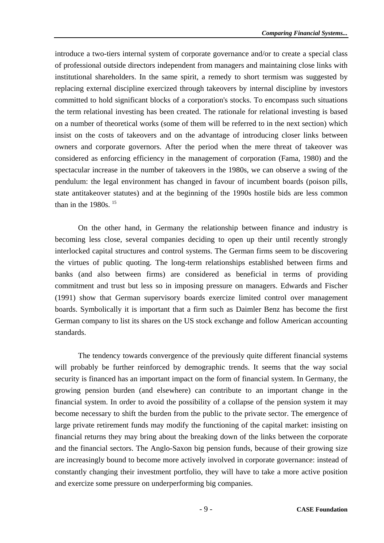introduce a two-tiers internal system of corporate governance and/or to create a special class of professional outside directors independent from managers and maintaining close links with institutional shareholders. In the same spirit, a remedy to short termism was suggested by replacing external discipline exercized through takeovers by internal discipline by investors committed to hold significant blocks of a corporation's stocks. To encompass such situations the term relational investing has been created. The rationale for relational investing is based on a number of theoretical works (some of them will be referred to in the next section) which insist on the costs of takeovers and on the advantage of introducing closer links between owners and corporate governors. After the period when the mere threat of takeover was considered as enforcing efficiency in the management of corporation (Fama, 1980) and the spectacular increase in the number of takeovers in the 1980s, we can observe a swing of the pendulum: the legal environment has changed in favour of incumbent boards (poison pills, state antitakeover statutes) and at the beginning of the 1990s hostile bids are less common than in the  $1980s$ .  $15$ 

 On the other hand, in Germany the relationship between finance and industry is becoming less close, several companies deciding to open up their until recently strongly interlocked capital structures and control systems. The German firms seem to be discovering the virtues of public quoting. The long-term relationships established between firms and banks (and also between firms) are considered as beneficial in terms of providing commitment and trust but less so in imposing pressure on managers. Edwards and Fischer (1991) show that German supervisory boards exercize limited control over management boards. Symbolically it is important that a firm such as Daimler Benz has become the first German company to list its shares on the US stock exchange and follow American accounting standards.

 The tendency towards convergence of the previously quite different financial systems will probably be further reinforced by demographic trends. It seems that the way social security is financed has an important impact on the form of financial system. In Germany, the growing pension burden (and elsewhere) can contribute to an important change in the financial system. In order to avoid the possibility of a collapse of the pension system it may become necessary to shift the burden from the public to the private sector. The emergence of large private retirement funds may modify the functioning of the capital market: insisting on financial returns they may bring about the breaking down of the links between the corporate and the financial sectors. The Anglo-Saxon big pension funds, because of their growing size are increasingly bound to become more actively involved in corporate governance: instead of constantly changing their investment portfolio, they will have to take a more active position and exercize some pressure on underperforming big companies.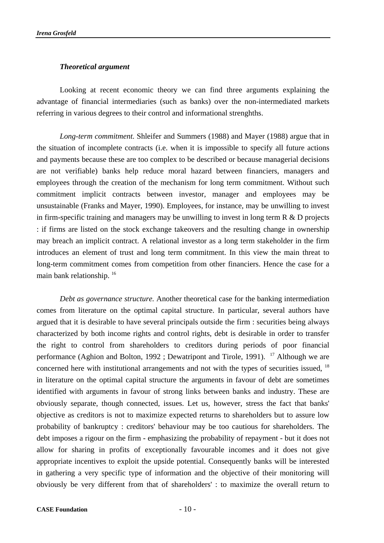#### *Theoretical argument*

 Looking at recent economic theory we can find three arguments explaining the advantage of financial intermediaries (such as banks) over the non-intermediated markets referring in various degrees to their control and informational strenghths.

 *Long-term commitment.* Shleifer and Summers (1988) and Mayer (1988) argue that in the situation of incomplete contracts (i.e. when it is impossible to specify all future actions and payments because these are too complex to be described or because managerial decisions are not verifiable) banks help reduce moral hazard between financiers, managers and employees through the creation of the mechanism for long term commitment. Without such commitment implicit contracts between investor, manager and employees may be unsustainable (Franks and Mayer, 1990). Employees, for instance, may be unwilling to invest in firm-specific training and managers may be unwilling to invest in long term  $R \& D$  projects : if firms are listed on the stock exchange takeovers and the resulting change in ownership may breach an implicit contract. A relational investor as a long term stakeholder in the firm introduces an element of trust and long term commitment. In this view the main threat to long-term commitment comes from competition from other financiers. Hence the case for a main bank relationship. 16

*Debt as governance structure.* Another theoretical case for the banking intermediation comes from literature on the optimal capital structure. In particular, several authors have argued that it is desirable to have several principals outside the firm : securities being always characterized by both income rights and control rights, debt is desirable in order to transfer the right to control from shareholders to creditors during periods of poor financial performance (Aghion and Bolton, 1992 ; Dewatripont and Tirole, 1991). <sup>17</sup> Although we are concerned here with institutional arrangements and not with the types of securities issued, <sup>18</sup> in literature on the optimal capital structure the arguments in favour of debt are sometimes identified with arguments in favour of strong links between banks and industry. These are obviously separate, though connected, issues. Let us, however, stress the fact that banks' objective as creditors is not to maximize expected returns to shareholders but to assure low probability of bankruptcy : creditors' behaviour may be too cautious for shareholders. The debt imposes a rigour on the firm - emphasizing the probability of repayment - but it does not allow for sharing in profits of exceptionally favourable incomes and it does not give appropriate incentives to exploit the upside potential. Consequently banks will be interested in gathering a very specific type of information and the objective of their monitoring will obviously be very different from that of shareholders' : to maximize the overall return to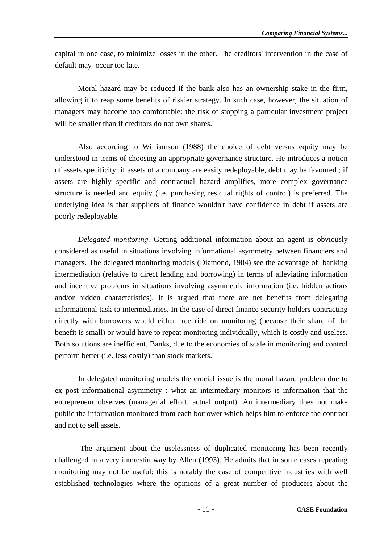capital in one case, to minimize losses in the other. The creditors' intervention in the case of default may occur too late.

 Moral hazard may be reduced if the bank also has an ownership stake in the firm, allowing it to reap some benefits of riskier strategy. In such case, however, the situation of managers may become too comfortable: the risk of stopping a particular investment project will be smaller than if creditors do not own shares.

 Also according to Williamson (1988) the choice of debt versus equity may be understood in terms of choosing an appropriate governance structure. He introduces a notion of assets specificity: if assets of a company are easily redeployable, debt may be favoured ; if assets are highly specific and contractual hazard amplifies, more complex governance structure is needed and equity (i.e. purchasing residual rights of control) is preferred. The underlying idea is that suppliers of finance wouldn't have confidence in debt if assets are poorly redeployable.

 *Delegated monitoring.* Getting additional information about an agent is obviously considered as useful in situations involving informational asymmetry between financiers and managers. The delegated monitoring models (Diamond, 1984) see the advantage of banking intermediation (relative to direct lending and borrowing) in terms of alleviating information and incentive problems in situations involving asymmetric information (i.e. hidden actions and/or hidden characteristics). It is argued that there are net benefits from delegating informational task to intermediaries. In the case of direct finance security holders contracting directly with borrowers would either free ride on monitoring (because their share of the benefit is small) or would have to repeat monitoring individually, which is costly and useless. Both solutions are inefficient. Banks, due to the economies of scale in monitoring and control perform better (i.e. less costly) than stock markets.

 In delegated monitoring models the crucial issue is the moral hazard problem due to ex post informational asymmetry : what an intermediary monitors is information that the entrepreneur observes (managerial effort, actual output). An intermediary does not make public the information monitored from each borrower which helps him to enforce the contract and not to sell assets.

 The argument about the uselessness of duplicated monitoring has been recently challenged in a very interestin way by Allen (1993). He admits that in some cases repeating monitoring may not be useful: this is notably the case of competitive industries with well established technologies where the opinions of a great number of producers about the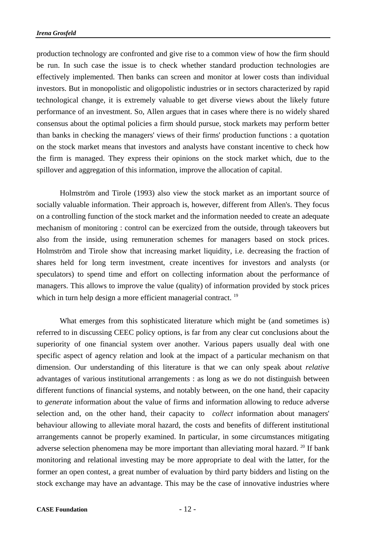production technology are confronted and give rise to a common view of how the firm should be run. In such case the issue is to check whether standard production technologies are effectively implemented. Then banks can screen and monitor at lower costs than individual investors. But in monopolistic and oligopolistic industries or in sectors characterized by rapid technological change, it is extremely valuable to get diverse views about the likely future performance of an investment. So, Allen argues that in cases where there is no widely shared consensus about the optimal policies a firm should pursue, stock markets may perform better than banks in checking the managers' views of their firms' production functions : a quotation on the stock market means that investors and analysts have constant incentive to check how the firm is managed. They express their opinions on the stock market which, due to the spillover and aggregation of this information, improve the allocation of capital.

 Holmström and Tirole (1993) also view the stock market as an important source of socially valuable information. Their approach is, however, different from Allen's. They focus on a controlling function of the stock market and the information needed to create an adequate mechanism of monitoring : control can be exercized from the outside, through takeovers but also from the inside, using remuneration schemes for managers based on stock prices. Holmström and Tirole show that increasing market liquidity, i.e. decreasing the fraction of shares held for long term investment, create incentives for investors and analysts (or speculators) to spend time and effort on collecting information about the performance of managers. This allows to improve the value (quality) of information provided by stock prices which in turn help design a more efficient managerial contract.<sup>19</sup>

 What emerges from this sophisticated literature which might be (and sometimes is) referred to in discussing CEEC policy options, is far from any clear cut conclusions about the superiority of one financial system over another. Various papers usually deal with one specific aspect of agency relation and look at the impact of a particular mechanism on that dimension. Our understanding of this literature is that we can only speak about *relative* advantages of various institutional arrangements : as long as we do not distinguish between different functions of financial systems, and notably between, on the one hand, their capacity to *generate* information about the value of firms and information allowing to reduce adverse selection and, on the other hand, their capacity to *collect* information about managers' behaviour allowing to alleviate moral hazard, the costs and benefits of different institutional arrangements cannot be properly examined. In particular, in some circumstances mitigating adverse selection phenomena may be more important than alleviating moral hazard. <sup>20</sup> If bank monitoring and relational investing may be more appropriate to deal with the latter, for the former an open contest, a great number of evaluation by third party bidders and listing on the stock exchange may have an advantage. This may be the case of innovative industries where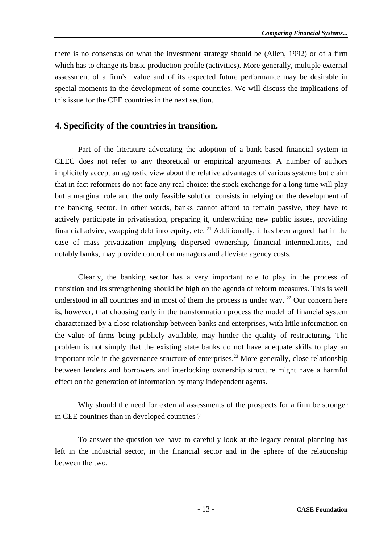there is no consensus on what the investment strategy should be (Allen, 1992) or of a firm which has to change its basic production profile (activities). More generally, multiple external assessment of a firm's value and of its expected future performance may be desirable in special moments in the development of some countries. We will discuss the implications of this issue for the CEE countries in the next section.

#### **4. Specificity of the countries in transition.**

 Part of the literature advocating the adoption of a bank based financial system in CEEC does not refer to any theoretical or empirical arguments. A number of authors implicitely accept an agnostic view about the relative advantages of various systems but claim that in fact reformers do not face any real choice: the stock exchange for a long time will play but a marginal role and the only feasible solution consists in relying on the development of the banking sector. In other words, banks cannot afford to remain passive, they have to actively participate in privatisation, preparing it, underwriting new public issues, providing financial advice, swapping debt into equity, etc.  $^{21}$  Additionally, it has been argued that in the case of mass privatization implying dispersed ownership, financial intermediaries, and notably banks, may provide control on managers and alleviate agency costs.

 Clearly, the banking sector has a very important role to play in the process of transition and its strengthening should be high on the agenda of reform measures. This is well understood in all countries and in most of them the process is under way.  $22$  Our concern here is, however, that choosing early in the transformation process the model of financial system characterized by a close relationship between banks and enterprises, with little information on the value of firms being publicly available, may hinder the quality of restructuring. The problem is not simply that the existing state banks do not have adequate skills to play an important role in the governance structure of enterprises.<sup>23</sup> More generally, close relationship between lenders and borrowers and interlocking ownership structure might have a harmful effect on the generation of information by many independent agents.

 Why should the need for external assessments of the prospects for a firm be stronger in CEE countries than in developed countries ?

 To answer the question we have to carefully look at the legacy central planning has left in the industrial sector, in the financial sector and in the sphere of the relationship between the two.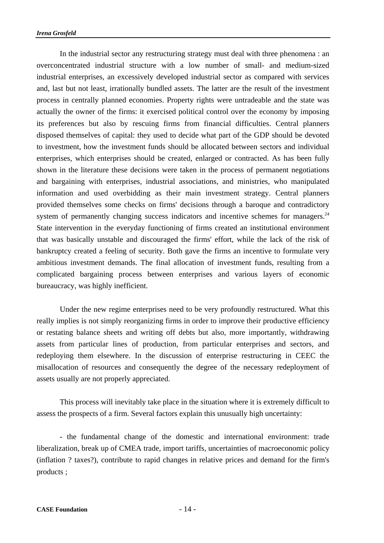In the industrial sector any restructuring strategy must deal with three phenomena : an overconcentrated industrial structure with a low number of small- and medium-sized industrial enterprises, an excessively developed industrial sector as compared with services and, last but not least, irrationally bundled assets. The latter are the result of the investment process in centrally planned economies. Property rights were untradeable and the state was actually the owner of the firms: it exercised political control over the economy by imposing its preferences but also by rescuing firms from financial difficulties. Central planners disposed themselves of capital: they used to decide what part of the GDP should be devoted to investment, how the investment funds should be allocated between sectors and individual enterprises, which enterprises should be created, enlarged or contracted. As has been fully shown in the literature these decisions were taken in the process of permanent negotiations and bargaining with enterprises, industrial associations, and ministries, who manipulated information and used overbidding as their main investment strategy. Central planners provided themselves some checks on firms' decisions through a baroque and contradictory system of permanently changing success indicators and incentive schemes for managers.<sup>24</sup> State intervention in the everyday functioning of firms created an institutional environment that was basically unstable and discouraged the firms' effort, while the lack of the risk of bankruptcy created a feeling of security. Both gave the firms an incentive to formulate very ambitious investment demands. The final allocation of investment funds, resulting from a complicated bargaining process between enterprises and various layers of economic bureaucracy, was highly inefficient.

 Under the new regime enterprises need to be very profoundly restructured. What this really implies is not simply reorganizing firms in order to improve their productive efficiency or restating balance sheets and writing off debts but also, more importantly, withdrawing assets from particular lines of production, from particular enterprises and sectors, and redeploying them elsewhere. In the discussion of enterprise restructuring in CEEC the misallocation of resources and consequently the degree of the necessary redeployment of assets usually are not properly appreciated.

 This process will inevitably take place in the situation where it is extremely difficult to assess the prospects of a firm. Several factors explain this unusually high uncertainty:

 - the fundamental change of the domestic and international environment: trade liberalization, break up of CMEA trade, import tariffs, uncertainties of macroeconomic policy (inflation ? taxes?), contribute to rapid changes in relative prices and demand for the firm's products ;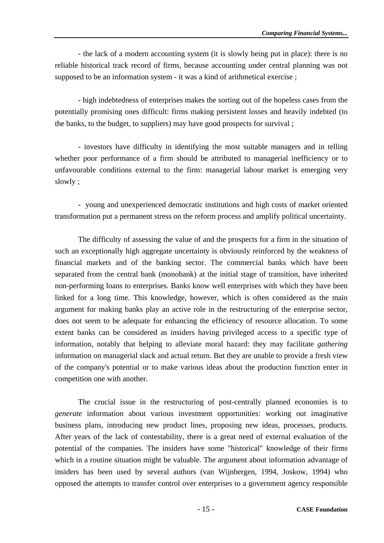- the lack of a modern accounting system (it is slowly being put in place): there is no reliable historical track record of firms, because accounting under central planning was not supposed to be an information system - it was a kind of arithmetical exercise ;

 - high indebtedness of enterprises makes the sorting out of the hopeless cases from the potentially promising ones difficult: firms making persistent losses and heavily indebted (to the banks, to the budget, to suppliers) may have good prospects for survival ;

 - investors have difficulty in identifying the most suitable managers and in telling whether poor performance of a firm should be attributed to managerial inefficiency or to unfavourable conditions external to the firm: managerial labour market is emerging very slowly ;

 - young and unexperienced democratic institutions and high costs of market oriented transformation put a permanent stress on the reform process and amplify political uncertainty.

 The difficulty of assessing the value of and the prospects for a firm in the situation of such an exceptionally high aggregate uncertainty is obviously reinforced by the weakness of financial markets and of the banking sector. The commercial banks which have been separated from the central bank (monobank) at the initial stage of transition, have inherited non-performing loans to enterprises. Banks know well enterprises with which they have been linked for a long time. This knowledge, however, which is often considered as the main argument for making banks play an active role in the restructuring of the enterprise sector, does not seem to be adequate for enhancing the efficiency of resource allocation. To some extent banks can be considered as insiders having privileged access to a specific type of information, notably that helping to alleviate moral hazard: they may facilitate *gathering* information on managerial slack and actual return. But they are unable to provide a fresh view of the company's potential or to make various ideas about the production function enter in competition one with another.

 The crucial issue in the restructuring of post-centrally planned economies is to *generate* information about various investment opportunities: working out imaginative business plans, introducing new product lines, proposing new ideas, processes, products. After years of the lack of contestability, there is a great need of external evaluation of the potential of the companies. The insiders have some "historical" knowledge of their firms which in a routine situation might be valuable. The argument about information advantage of insiders has been used by several authors (van Wijnbergen, 1994, Joskow, 1994) who opposed the attempts to transfer control over enterprises to a government agency responsible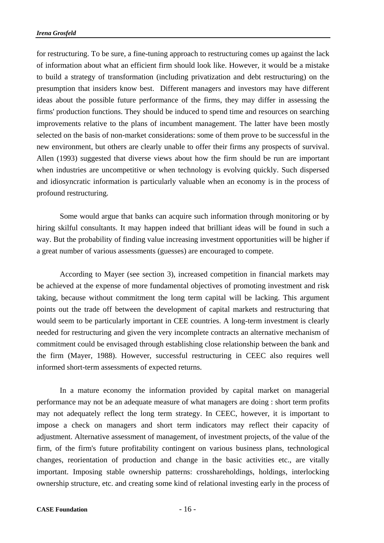for restructuring. To be sure, a fine-tuning approach to restructuring comes up against the lack of information about what an efficient firm should look like. However, it would be a mistake to build a strategy of transformation (including privatization and debt restructuring) on the presumption that insiders know best. Different managers and investors may have different ideas about the possible future performance of the firms, they may differ in assessing the firms' production functions. They should be induced to spend time and resources on searching improvements relative to the plans of incumbent management. The latter have been mostly selected on the basis of non-market considerations: some of them prove to be successful in the new environment, but others are clearly unable to offer their firms any prospects of survival. Allen (1993) suggested that diverse views about how the firm should be run are important when industries are uncompetitive or when technology is evolving quickly. Such dispersed and idiosyncratic information is particularly valuable when an economy is in the process of profound restructuring.

 Some would argue that banks can acquire such information through monitoring or by hiring skilful consultants. It may happen indeed that brilliant ideas will be found in such a way. But the probability of finding value increasing investment opportunities will be higher if a great number of various assessments (guesses) are encouraged to compete.

 According to Mayer (see section 3), increased competition in financial markets may be achieved at the expense of more fundamental objectives of promoting investment and risk taking, because without commitment the long term capital will be lacking. This argument points out the trade off between the development of capital markets and restructuring that would seem to be particularly important in CEE countries. A long-term investment is clearly needed for restructuring and given the very incomplete contracts an alternative mechanism of commitment could be envisaged through establishing close relationship between the bank and the firm (Mayer, 1988). However, successful restructuring in CEEC also requires well informed short-term assessments of expected returns.

 In a mature economy the information provided by capital market on managerial performance may not be an adequate measure of what managers are doing : short term profits may not adequately reflect the long term strategy. In CEEC, however, it is important to impose a check on managers and short term indicators may reflect their capacity of adjustment. Alternative assessment of management, of investment projects, of the value of the firm, of the firm's future profitability contingent on various business plans, technological changes, reorientation of production and change in the basic activities etc., are vitally important. Imposing stable ownership patterns: crosshareholdings, holdings, interlocking ownership structure, etc. and creating some kind of relational investing early in the process of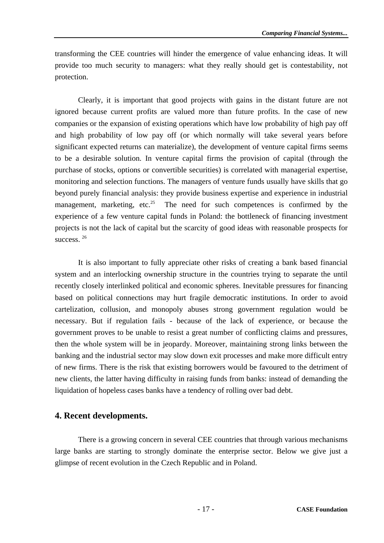transforming the CEE countries will hinder the emergence of value enhancing ideas. It will provide too much security to managers: what they really should get is contestability, not protection.

 Clearly, it is important that good projects with gains in the distant future are not ignored because current profits are valued more than future profits. In the case of new companies or the expansion of existing operations which have low probability of high pay off and high probability of low pay off (or which normally will take several years before significant expected returns can materialize), the development of venture capital firms seems to be a desirable solution. In venture capital firms the provision of capital (through the purchase of stocks, options or convertible securities) is correlated with managerial expertise, monitoring and selection functions. The managers of venture funds usually have skills that go beyond purely financial analysis: they provide business expertise and experience in industrial management, marketing, etc.<sup>25</sup> The need for such competences is confirmed by the experience of a few venture capital funds in Poland: the bottleneck of financing investment projects is not the lack of capital but the scarcity of good ideas with reasonable prospects for success.<sup>26</sup>

 It is also important to fully appreciate other risks of creating a bank based financial system and an interlocking ownership structure in the countries trying to separate the until recently closely interlinked political and economic spheres. Inevitable pressures for financing based on political connections may hurt fragile democratic institutions. In order to avoid cartelization, collusion, and monopoly abuses strong government regulation would be necessary. But if regulation fails - because of the lack of experience, or because the government proves to be unable to resist a great number of conflicting claims and pressures, then the whole system will be in jeopardy. Moreover, maintaining strong links between the banking and the industrial sector may slow down exit processes and make more difficult entry of new firms. There is the risk that existing borrowers would be favoured to the detriment of new clients, the latter having difficulty in raising funds from banks: instead of demanding the liquidation of hopeless cases banks have a tendency of rolling over bad debt.

#### **4. Recent developments.**

 There is a growing concern in several CEE countries that through various mechanisms large banks are starting to strongly dominate the enterprise sector. Below we give just a glimpse of recent evolution in the Czech Republic and in Poland.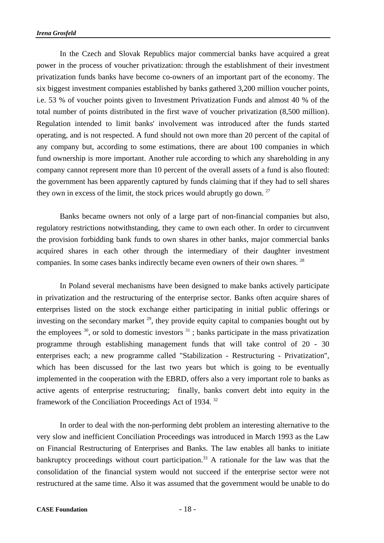In the Czech and Slovak Republics major commercial banks have acquired a great power in the process of voucher privatization: through the establishment of their investment privatization funds banks have become co-owners of an important part of the economy. The six biggest investment companies established by banks gathered 3,200 million voucher points, i.e. 53 % of voucher points given to Investment Privatization Funds and almost 40 % of the total number of points distributed in the first wave of voucher privatization (8,500 million). Regulation intended to limit banks' involvement was introduced after the funds started operating, and is not respected. A fund should not own more than 20 percent of the capital of any company but, according to some estimations, there are about 100 companies in which fund ownership is more important. Another rule according to which any shareholding in any company cannot represent more than 10 percent of the overall assets of a fund is also flouted: the government has been apparently captured by funds claiming that if they had to sell shares they own in excess of the limit, the stock prices would abruptly go down.  $27$ 

 Banks became owners not only of a large part of non-financial companies but also, regulatory restrictions notwithstanding, they came to own each other. In order to circumvent the provision forbidding bank funds to own shares in other banks, major commercial banks acquired shares in each other through the intermediary of their daughter investment companies. In some cases banks indirectly became even owners of their own shares. 28

 In Poland several mechanisms have been designed to make banks actively participate in privatization and the restructuring of the enterprise sector. Banks often acquire shares of enterprises listed on the stock exchange either participating in initial public offerings or investing on the secondary market  $^{29}$ , they provide equity capital to companies bought out by the employees  $30$ , or sold to domestic investors  $31$ ; banks participate in the mass privatization programme through establishing management funds that will take control of 20 - 30 enterprises each; a new programme called "Stabilization - Restructuring - Privatization", which has been discussed for the last two years but which is going to be eventually implemented in the cooperation with the EBRD, offers also a very important role to banks as active agents of enterprise restructuring; finally, banks convert debt into equity in the framework of the Conciliation Proceedings Act of 1934.<sup>32</sup>

 In order to deal with the non-performing debt problem an interesting alternative to the very slow and inefficient Conciliation Proceedings was introduced in March 1993 as the Law on Financial Restructuring of Enterprises and Banks. The law enables all banks to initiate bankruptcy proceedings without court participation.<sup>33</sup> A rationale for the law was that the consolidation of the financial system would not succeed if the enterprise sector were not restructured at the same time. Also it was assumed that the government would be unable to do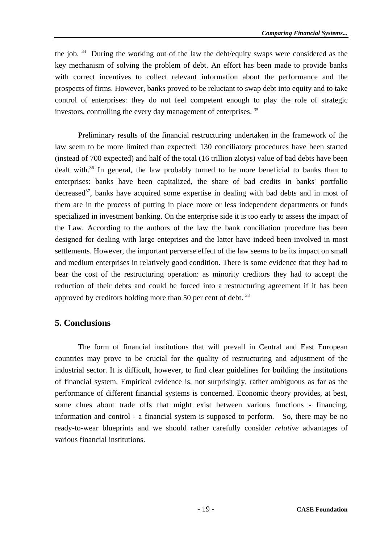the job.  $34$  During the working out of the law the debt/equity swaps were considered as the key mechanism of solving the problem of debt. An effort has been made to provide banks with correct incentives to collect relevant information about the performance and the prospects of firms. However, banks proved to be reluctant to swap debt into equity and to take control of enterprises: they do not feel competent enough to play the role of strategic investors, controlling the every day management of enterprises. 35

 Preliminary results of the financial restructuring undertaken in the framework of the law seem to be more limited than expected: 130 conciliatory procedures have been started (instead of 700 expected) and half of the total (16 trillion zlotys) value of bad debts have been dealt with.<sup>36</sup> In general, the law probably turned to be more beneficial to banks than to enterprises: banks have been capitalized, the share of bad credits in banks' portfolio decreased<sup>37</sup>, banks have acquired some expertise in dealing with bad debts and in most of them are in the process of putting in place more or less independent departments or funds specialized in investment banking. On the enterprise side it is too early to assess the impact of the Law. According to the authors of the law the bank conciliation procedure has been designed for dealing with large enteprises and the latter have indeed been involved in most settlements. However, the important perverse effect of the law seems to be its impact on small and medium enterprises in relatively good condition. There is some evidence that they had to bear the cost of the restructuring operation: as minority creditors they had to accept the reduction of their debts and could be forced into a restructuring agreement if it has been approved by creditors holding more than 50 per cent of debt.  $38$ 

#### **5. Conclusions**

 The form of financial institutions that will prevail in Central and East European countries may prove to be crucial for the quality of restructuring and adjustment of the industrial sector. It is difficult, however, to find clear guidelines for building the institutions of financial system. Empirical evidence is, not surprisingly, rather ambiguous as far as the performance of different financial systems is concerned. Economic theory provides, at best, some clues about trade offs that might exist between various functions - financing, information and control - a financial system is supposed to perform. So, there may be no ready-to-wear blueprints and we should rather carefully consider *relative* advantages of various financial institutions.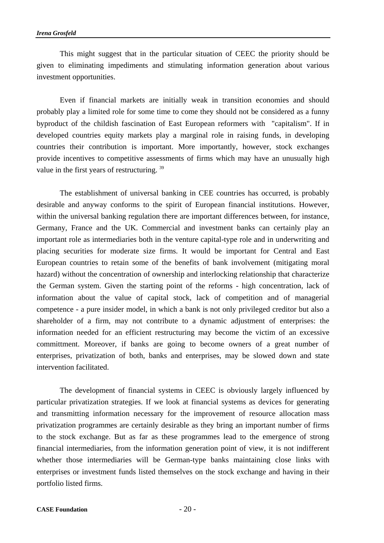This might suggest that in the particular situation of CEEC the priority should be given to eliminating impediments and stimulating information generation about various investment opportunities.

 Even if financial markets are initially weak in transition economies and should probably play a limited role for some time to come they should not be considered as a funny byproduct of the childish fascination of East European reformers with "capitalism". If in developed countries equity markets play a marginal role in raising funds, in developing countries their contribution is important. More importantly, however, stock exchanges provide incentives to competitive assessments of firms which may have an unusually high value in the first years of restructuring. 39

 The establishment of universal banking in CEE countries has occurred, is probably desirable and anyway conforms to the spirit of European financial institutions. However, within the universal banking regulation there are important differences between, for instance, Germany, France and the UK. Commercial and investment banks can certainly play an important role as intermediaries both in the venture capital-type role and in underwriting and placing securities for moderate size firms. It would be important for Central and East European countries to retain some of the benefits of bank involvement (mitigating moral hazard) without the concentration of ownership and interlocking relationship that characterize the German system. Given the starting point of the reforms - high concentration, lack of information about the value of capital stock, lack of competition and of managerial competence - a pure insider model, in which a bank is not only privileged creditor but also a shareholder of a firm, may not contribute to a dynamic adjustment of enterprises: the information needed for an efficient restructuring may become the victim of an excessive committment. Moreover, if banks are going to become owners of a great number of enterprises, privatization of both, banks and enterprises, may be slowed down and state intervention facilitated.

 The development of financial systems in CEEC is obviously largely influenced by particular privatization strategies. If we look at financial systems as devices for generating and transmitting information necessary for the improvement of resource allocation mass privatization programmes are certainly desirable as they bring an important number of firms to the stock exchange. But as far as these programmes lead to the emergence of strong financial intermediaries, from the information generation point of view, it is not indifferent whether those intermediaries will be German-type banks maintaining close links with enterprises or investment funds listed themselves on the stock exchange and having in their portfolio listed firms.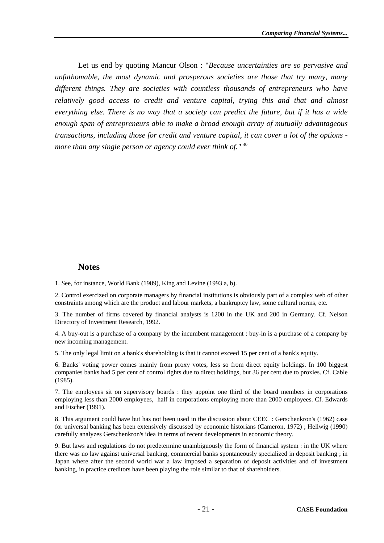Let us end by quoting Mancur Olson : "*Because uncertainties are so pervasive and unfathomable, the most dynamic and prosperous societies are those that try many, many different things. They are societies with countless thousands of entrepreneurs who have relatively good access to credit and venture capital, trying this and that and almost everything else. There is no way that a society can predict the future, but if it has a wide enough span of entrepreneurs able to make a broad enough array of mutually advantageous transactions, including those for credit and venture capital, it can cover a lot of the options more than any single person or agency could ever think of."* <sup>40</sup>

#### **Notes**

1. See, for instance, World Bank (1989), King and Levine (1993 a, b).

2. Control exercized on corporate managers by financial institutions is obviously part of a complex web of other constraints among which are the product and labour markets, a bankruptcy law, some cultural norms, etc.

3. The number of firms covered by financial analysts is 1200 in the UK and 200 in Germany. Cf. Nelson Directory of Investment Research, 1992.

4. A buy-out is a purchase of a company by the incumbent management : buy-in is a purchase of a company by new incoming management.

5. The only legal limit on a bank's shareholding is that it cannot exceed 15 per cent of a bank's equity.

6. Banks' voting power comes mainly from proxy votes, less so from direct equity holdings. In 100 biggest companies banks had 5 per cent of control rights due to direct holdings, but 36 per cent due to proxies. Cf. Cable (1985).

7. The employees sit on supervisory boards : they appoint one third of the board members in corporations employing less than 2000 employees, half in corporations employing more than 2000 employees. Cf. Edwards and Fischer (1991).

8. This argument could have but has not been used in the discussion about CEEC : Gerschenkron's (1962) case for universal banking has been extensively discussed by economic historians (Cameron, 1972) ; Hellwig (1990) carefully analyzes Gerschenkron's idea in terms of recent developments in economic theory.

9. But laws and regulations do not predetermine unambiguously the form of financial system : in the UK where there was no law against universal banking, commercial banks spontaneously specialized in deposit banking ; in Japan where after the second world war a law imposed a separation of deposit activities and of investment banking, in practice creditors have been playing the role similar to that of shareholders.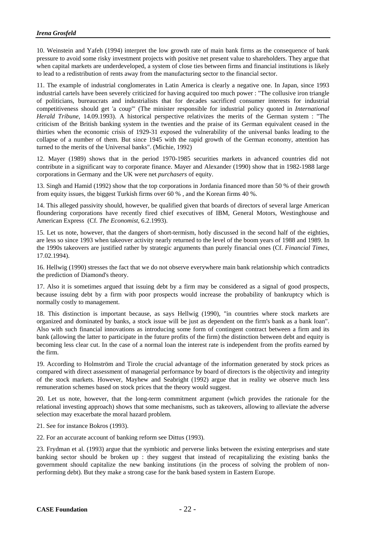10. Weinstein and Yafeh (1994) interpret the low growth rate of main bank firms as the consequence of bank pressure to avoid some risky investment projects with positive net present value to shareholders. They argue that when capital markets are underdeveloped, a system of close ties between firms and financial institutions is likely to lead to a redistribution of rents away from the manufacturing sector to the financial sector.

11. The example of industrial conglomerates in Latin America is clearly a negative one. In Japan, since 1993 industrial cartels have been severely criticized for having acquired too much power : "The collusive iron triangle of politicians, bureaucrats and industrialists that for decades sacrificed consumer interests for industrial competitiveness should get 'a coup'" (The minister responsible for industrial policy quoted in *International Herald Tribune*, 14.09.1993). A historical perspective relativizes the merits of the German system : "The criticism of the British banking system in the twenties and the praise of its German equivalent ceased in the thirties when the economic crisis of 1929-31 exposed the vulnerability of the universal banks leading to the collapse of a number of them. But since 1945 with the rapid growth of the German economy, attention has turned to the merits of the Universal banks". (Michie, 1992)

12. Mayer (1989) shows that in the period 1970-1985 securities markets in advanced countries did not contribute in a significant way to corporate finance. Mayer and Alexander (1990) show that in 1982-1988 large corporations in Germany and the UK were net *purchasers* of equity.

13. Singh and Hamid (1992) show that the top corporations in Jordania financed more than 50 % of their growth from equity issues, the biggest Turkish firms over 60 % , and the Korean firms 40 %.

14. This alleged passivity should, however, be qualified given that boards of directors of several large American floundering corporations have recently fired chief executives of IBM, General Motors, Westinghouse and American Express (Cf. *The Economist*, 6.2.1993).

15. Let us note, however, that the dangers of short-termism, hotly discussed in the second half of the eighties, are less so since 1993 when takeover activity nearly returned to the level of the boom years of 1988 and 1989. In the 1990s takeovers are justified rather by strategic arguments than purely financial ones (Cf. *Financial Times*, 17.02.1994).

16. Hellwig (1990) stresses the fact that we do not observe everywhere main bank relationship which contradicts the prediction of Diamond's theory.

17. Also it is sometimes argued that issuing debt by a firm may be considered as a signal of good prospects, because issuing debt by a firm with poor prospects would increase the probability of bankruptcy which is normally costly to management.

18. This distinction is important because, as says Hellwig (1990), "in countries where stock markets are organized and dominated by banks, a stock issue will be just as dependent on the firm's bank as a bank loan". Also with such financial innovations as introducing some form of contingent contract between a firm and its bank (allowing the latter to participate in the future profits of the firm) the distinction between debt and equity is becoming less clear cut. In the case of a normal loan the interest rate is independent from the profits earned by the firm.

19. According to Holmström and Tirole the crucial advantage of the information generated by stock prices as compared with direct assessment of managerial performance by board of directors is the objectivity and integrity of the stock markets. However, Mayhew and Seabright (1992) argue that in reality we observe much less remuneration schemes based on stock prices that the theory would suggest.

20. Let us note, however, that the long-term commitment argument (which provides the rationale for the relational investing approach) shows that some mechanisms, such as takeovers, allowing to alleviate the adverse selection may exacerbate the moral hazard problem.

21. See for instance Bokros (1993).

22. For an accurate account of banking reform see Dittus (1993).

23. Frydman et al. (1993) argue that the symbiotic and perverse links between the existing enterprises and state banking sector should be broken up : they suggest that instead of recapitalizing the existing banks the government should capitalize the new banking institutions (in the process of solving the problem of nonperforming debt). But they make a strong case for the bank based system in Eastern Europe.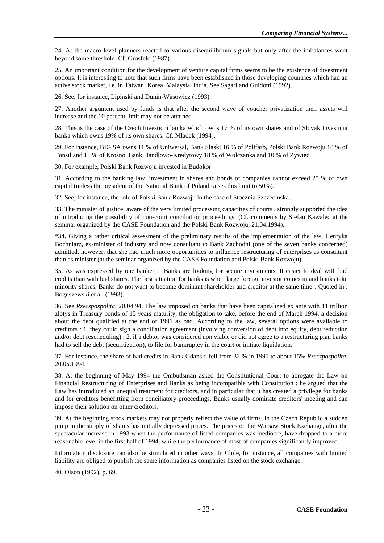24. At the macro level planners reacted to various disequilibrium signals but only after the imbalances went beyond some threshold. Cf. Grosfeld (1987).

25. An important condition for the development of venture capital firms seems to be the existence of divestment options. It is interesting to note that such firms have been established in those developing countries which had an active stock market, i.e. in Taiwan, Korea, Malaysia, India. See Sagari and Guidotti (1992).

26. See, for instance, Lipinski and Dunin-Wasowicz (1993).

27. Another argument used by funds is that after the second wave of voucher privatization their assets will increase and the 10 percent limit may not be attained.

28. This is the case of the Czech Investicní banka which owns 17 % of its own shares and of Slovak Investicní banka which owns 19% of its own shares. Cf. Mladek (1994).

29. For instance, BIG SA owns 11 % of Uniwersal, Bank Slaski 16 % of Polifarb, Polski Bank Rozwoju 18 % of Tonsil and 11 % of Krosno, Bank Handlowo-Kredytowy 18 % of Wolczanka and 10 % of Zywiec.

30. For example, Polski Bank Rozwoju invested in Budokor.

31. According to the banking law, investment in shares and bonds of companies cannot exceed 25 % of own capital (unless the president of the National Bank of Poland raises this limit to 50%).

32. See, for instance, the role of Polski Bank Rozwoju in the case of Stocznia Szczecinska.

33. The minister of justice, aware of the very limited processing capacities of courts , strongly supported the idea of introducing the possibility of non-court conciliation proceedings. (Cf. comments by Stefan Kawalec at the seminar organized by the CASE Foundation and the Polski Bank Rozwoju, 21.04.1994).

\*34. Giving a rather critical assessment of the preliminary results of the implementation of the law, Henryka Bochniarz, ex-minister of industry and now consultant to Bank Zachodni (one of the seven banks concerned) admitted, however, that she had much more opportunities to influence restructuring of enterprises as consultant than as minister (at the seminar organized by the CASE Foundation and Polski Bank Rozwoju).

35. As was expressed by one banker : "Banks are looking for secure investments. It easier to deal with bad credits than with bad shares. The best situation for banks is when large foreign investor comes in and banks take minority shares. Banks do not want to become dominant shareholder and creditor at the same time". Quoted in : Boguszewski et al. (1993).

36. See *Rzeczpospolita*, 20.04.94. The law imposed on banks that have been capitalized ex ante with 11 trillion zlotys in Treasury bonds of 15 years maturity, the obligation to take, before the end of March 1994, a decision about the debt qualified at the end of 1991 as bad. According to the law, several options were available to creditors : 1. they could sign a conciliation agreement (involving conversion of debt into equity, debt reduction and/or debt rescheduling) ; 2. if a debtor was considered non viable or did not agree to a restructuring plan banks had to sell the debt (securitization), to file for bankruptcy in the court or initiate liquidation.

37. For instance, the share of bad credits in Bank Gdanski fell from 32 % in 1991 to about 15% *Rzeczpospolita*, 20.05.1994.

38. At the beginning of May 1994 the Ombudsman asked the Constitutional Court to abrogate the Law on Financial Restructuring of Enterprises and Banks as being incompatible with Constitution : he argued that the Law has introduced an unequal treatment for creditors, and in particular that it has created a privilege for banks and for creditors benefitting from conciliatory proceedings. Banks usually dominate creditors' meeting and can impose their solution on other creditors.

39. At the beginning stock markets may not properly reflect the value of firms. In the Czech Republic a sudden jump in the supply of shares has initially depressed prices. The prices on the Warsaw Stock Exchange, after the spectacular increase in 1993 when the performance of listed companies was mediocre, have dropped to a more reasonable level in the first half of 1994, while the performance of most of companies significantly improved.

Information disclosure can also be stimulated in other ways. In Chile, for instance, all companies with limited liability are obliged to publish the same information as companies listed on the stock exchange.

40. Olson (1992), p. 69.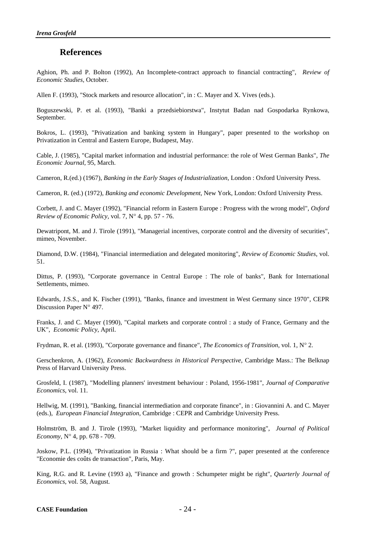#### **References**

Aghion, Ph. and P. Bolton (1992), An Incomplete-contract approach to financial contracting", *Review of Economic Studies*, October.

Allen F. (1993), "Stock markets and resource allocation", in : C. Mayer and X. Vives (eds.).

Boguszewski, P. et al. (1993), "Banki a przedsiebiorstwa", Instytut Badan nad Gospodarka Rynkowa, September.

Bokros, L. (1993), "Privatization and banking system in Hungary", paper presented to the workshop on Privatization in Central and Eastern Europe, Budapest, May.

Cable, J. (1985), "Capital market information and industrial performance: the role of West German Banks", *The Economic Journal*, 95, March.

Cameron, R.(ed.) (1967), *Banking in the Early Stages of Industrialization*, London : Oxford University Press.

Cameron, R. (ed.) (1972), *Banking and economic Development*, New York, London: Oxford University Press.

Corbett, J. and C. Mayer (1992), "Financial reform in Eastern Europe : Progress with the wrong model", *Oxford Review of Economic Policy,* vol. 7, N° 4, pp. 57 - 76.

Dewatripont, M. and J. Tirole (1991), "Managerial incentives, corporate control and the diversity of securities", mimeo, November.

Diamond, D.W. (1984), "Financial intermediation and delegated monitoring", *Review of Economic Studies*, vol. 51.

Dittus, P. (1993), "Corporate governance in Central Europe : The role of banks", Bank for International Settlements, mimeo.

Edwards, J.S.S., and K. Fischer (1991), "Banks, finance and investment in West Germany since 1970", CEPR Discussion Paper N° 497.

Franks, J. and C. Mayer (1990), "Capital markets and corporate control : a study of France, Germany and the UK", *Economic Policy*, April.

Frydman, R. et al. (1993), "Corporate governance and finance", *The Economics of Transition*, vol. 1, N° 2.

Gerschenkron, A. (1962), *Economic Backwardness in Historical Perspective*, Cambridge Mass.: The Belknap Press of Harvard University Press.

Grosfeld, I. (1987), "Modelling planners' investment behaviour : Poland, 1956-1981", *Journal of Comparative Economics*, vol. 11.

Hellwig, M. (1991), "Banking, financial intermediation and corporate finance", in : Giovannini A. and C. Mayer (eds.), *European Financial Integration*, Cambridge : CEPR and Cambridge University Press.

Holmström, B. and J. Tirole (1993), "Market liquidity and performance monitoring", *Journal of Political Economy*, N° 4, pp. 678 - 709.

Joskow, P.L. (1994), "Privatization in Russia : What should be a firm ?", paper presented at the conference "Economie des coûts de transaction", Paris, May.

King, R.G. and R. Levine (1993 a), "Finance and growth : Schumpeter might be right", *Quarterly Journal of Economics*, vol. 58, August.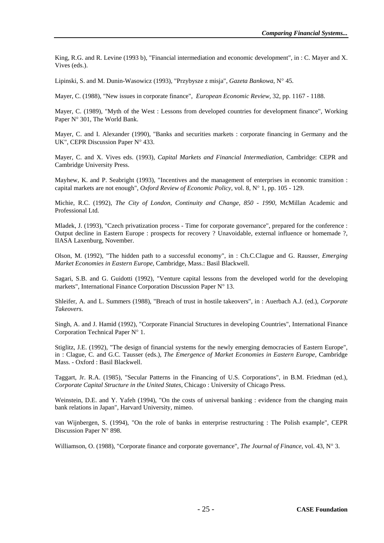King, R.G. and R. Levine (1993 b), "Financial intermediation and economic development", in : C. Mayer and X. Vives (eds.).

Lipinski, S. and M. Dunin-Wasowicz (1993), "Przybysze z misja", *Gazeta Bankowa*, N° 45.

Mayer, C. (1988), "New issues in corporate finance", *European Economic Review*, 32, pp. 1167 - 1188.

Mayer, C. (1989), "Myth of the West : Lessons from developed countries for development finance", Working Paper N° 301, The World Bank.

Mayer, C. and I. Alexander (1990), "Banks and securities markets : corporate financing in Germany and the UK", CEPR Discussion Paper N° 433.

Mayer, C. and X. Vives eds. (1993), *Capital Markets and Financial Intermediation*, Cambridge: CEPR and Cambridge University Press.

Mayhew, K. and P. Seabright (1993), "Incentives and the management of enterprises in economic transition : capital markets are not enough", *Oxford Review of Economic Policy*, vol. 8, N° 1, pp. 105 - 129.

Michie, R.C. (1992), *The City of London, Continuity and Change, 850 - 1990*, McMillan Academic and Professional Ltd.

Mladek, J. (1993), "Czech privatization process - Time for corporate governance", prepared for the conference : Output decline in Eastern Europe : prospects for recovery ? Unavoidable, external influence or homemade ?, IIASA Laxenburg, November.

Olson, M. (1992), "The hidden path to a successful economy", in : Ch.C.Clague and G. Rausser, *Emerging Market Economies in Eastern Europe*, Cambridge, Mass.: Basil Blackwell.

Sagari, S.B. and G. Guidotti (1992), "Venture capital lessons from the developed world for the developing markets", International Finance Corporation Discussion Paper N° 13.

Shleifer, A. and L. Summers (1988), "Breach of trust in hostile takeovers", in : Auerbach A.J. (ed.), *Corporate Takeovers*.

Singh, A. and J. Hamid (1992), "Corporate Financial Structures in developing Countries", International Finance Corporation Technical Paper N° 1.

Stiglitz, J.E. (1992), "The design of financial systems for the newly emerging democracies of Eastern Europe", in : Clague, C. and G.C. Tausser (eds.), *The Emergence of Market Economies in Eastern Europe*, Cambridge Mass. - Oxford : Basil Blackwell.

Taggart, Jr. R.A. (1985), "Secular Patterns in the Financing of U.S. Corporations", in B.M. Friedman (ed.), *Corporate Capital Structure in the United States*, Chicago : University of Chicago Press.

Weinstein, D.E. and Y. Yafeh (1994), "On the costs of universal banking : evidence from the changing main bank relations in Japan", Harvard University, mimeo.

van Wijnbergen, S. (1994), "On the role of banks in enterprise restructuring : The Polish example", CEPR Discussion Paper N° 898.

Williamson, O. (1988), "Corporate finance and corporate governance", *The Journal of Finance*, vol. 43, N° 3.